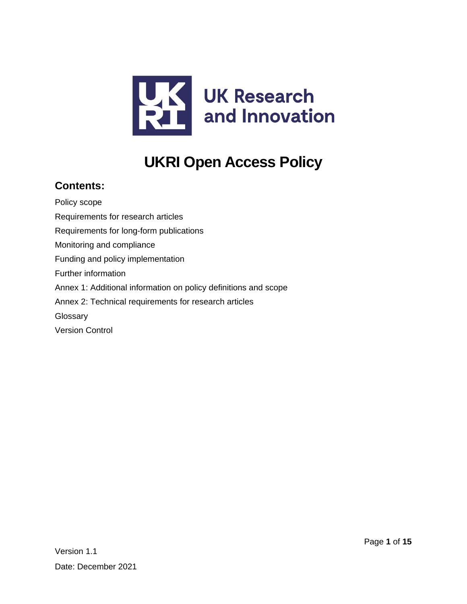

# **UKRI Open Access Policy**

### **Contents:**

[Policy scope](#page-1-0) [Requirements for research articles](#page-1-1) [Requirements for long-form publications](#page-3-0) [Monitoring and compliance](#page-4-0) [Funding and policy implementation](#page-4-1) [Further information](#page-4-2) [Annex 1: Additional information on policy definitions and scope](#page-5-0) [Annex 2: Technical requirements for research articles](#page-9-0) **[Glossary](#page-11-0)** [Version Control](#page-14-0)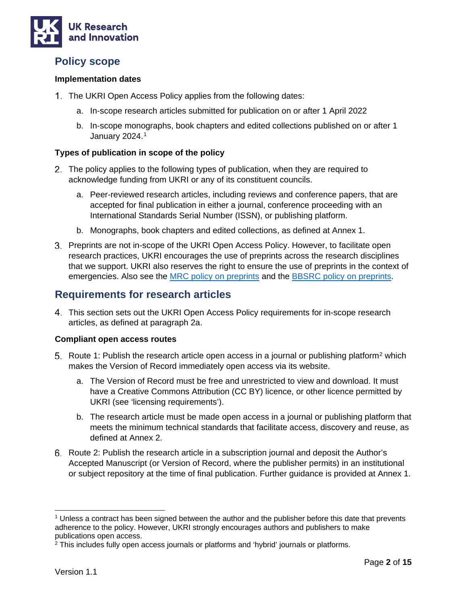

### <span id="page-1-0"></span>**Policy scope**

### **Implementation dates**

- 1. The UKRI Open Access Policy applies from the following dates:
	- a. In-scope research articles submitted for publication on or after 1 April 2022
	- b. In-scope monographs, book chapters and edited collections published on or after 1 January 2024.[1](#page-1-2)

### **Types of publication in scope of the policy**

- The policy applies to the following types of publication, when they are required to acknowledge funding from UKRI or any of its constituent councils.
	- a. Peer-reviewed research articles, including reviews and conference papers, that are accepted for final publication in either a journal, conference proceeding with an International Standards Serial Number (ISSN), or publishing platform.
	- b. Monographs, book chapters and edited collections, as defined at Annex 1.
- Preprints are not in-scope of the UKRI Open Access Policy. However, to facilitate open research practices, UKRI encourages the use of preprints across the research disciplines that we support. UKRI also reserves the right to ensure the use of preprints in the context of emergencies. Also see the [MRC](https://mrc.ukri.org/research/policies-and-guidance-for-researchers/preprints/) [policy on preprints](https://mrc.ukri.org/research/policies-and-guidance-for-researchers/preprints/) and the [BBSRC policy on preprints.](https://bbsrc.ukri.org/about/policies-standards/access-research-outputs/)

### <span id="page-1-1"></span>**Requirements for research articles**

This section sets out the UKRI Open Access Policy requirements for in-scope research articles, as defined at paragraph 2a.

#### **Compliant open access routes**

- 5. Route 1: Publish the research article open access in a journal or publishing platform<sup>[2](#page-1-3)</sup> which makes the Version of Record immediately open access via its website.
	- a. The Version of Record must be free and unrestricted to view and download. It must have a Creative Commons Attribution (CC BY) licence, or other licence permitted by UKRI (see 'licensing requirements').
	- b. The research article must be made open access in a journal or publishing platform that meets the minimum technical standards that facilitate access, discovery and reuse, as defined at Annex 2.
- 6. Route 2: Publish the research article in a subscription journal and deposit the Author's Accepted Manuscript (or Version of Record, where the publisher permits) in an institutional or subject repository at the time of final publication. Further guidance is provided at Annex 1.

<span id="page-1-2"></span> $1$  Unless a contract has been signed between the author and the publisher before this date that prevents adherence to the policy. However, UKRI strongly encourages authors and publishers to make publications open access.

<span id="page-1-3"></span><sup>2</sup> This includes fully open access journals or platforms and 'hybrid' journals or platforms.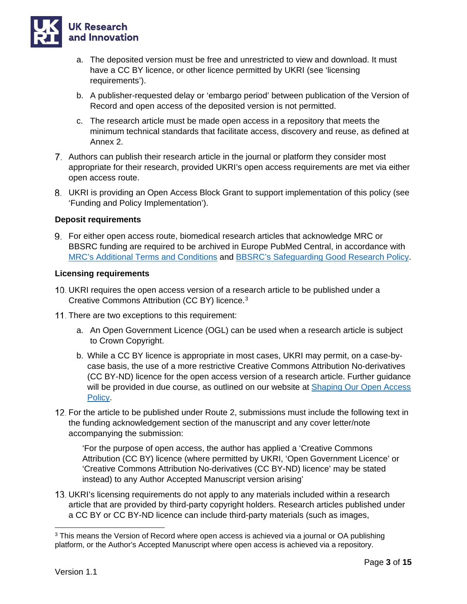

- a. The deposited version must be free and unrestricted to view and download. It must have a CC BY licence, or other licence permitted by UKRI (see 'licensing requirements').
- b. A publisher-requested delay or 'embargo period' between publication of the Version of Record and open access of the deposited version is not permitted.
- c. The research article must be made open access in a repository that meets the minimum technical standards that facilitate access, discovery and reuse, as defined at Annex 2.
- Authors can publish their research article in the journal or platform they consider most appropriate for their research, provided UKRI's open access requirements are met via either open access route.
- UKRI is providing an Open Access Block Grant to support implementation of this policy (see 'Funding and Policy Implementation').

### **Deposit requirements**

For either open access route, biomedical research articles that acknowledge MRC or BBSRC funding are required to be archived in Europe PubMed Central, in accordance with [MRC's Additional Terms and Conditions](https://mrc.ukri.org/documents/pdf/mrc-additional-terms-and-conditions/) and [BBSRC's Safeguarding Good Research Policy.](https://bbsrc.ukri.org/documents/safeguarding-good-scientific-practice/)

#### **Licensing requirements**

- UKRI requires the open access version of a research article to be published under a Creative Commons Attribution (CC BY) licence.[3](#page-2-0)
- 11. There are two exceptions to this requirement:
	- a. An Open Government Licence (OGL) can be used when a research article is subject to Crown Copyright.
	- b. While a CC BY licence is appropriate in most cases, UKRI may permit, on a case-bycase basis, the use of a more restrictive Creative Commons Attribution No-derivatives (CC BY-ND) licence for the open access version of a research article. Further guidance will be provided in due course, as outlined on our website at [Shaping Our Open Access](https://www.ukri.org/our-work/supporting-healthy-research-and-innovation-culture/open-research/open-access-policies-review/)  [Policy.](https://www.ukri.org/our-work/supporting-healthy-research-and-innovation-culture/open-research/open-access-policies-review/)
- 12. For the article to be published under Route 2, submissions must include the following text in the funding acknowledgement section of the manuscript and any cover letter/note accompanying the submission:

'For the purpose of open access, the author has applied a 'Creative Commons Attribution (CC BY) licence (where permitted by UKRI, 'Open Government Licence' or 'Creative Commons Attribution No-derivatives (CC BY-ND) licence' may be stated instead) to any Author Accepted Manuscript version arising'

UKRI's licensing requirements do not apply to any materials included within a research article that are provided by third-party copyright holders. Research articles published under a CC BY or CC BY-ND licence can include third-party materials (such as images,

<span id="page-2-0"></span><sup>&</sup>lt;sup>3</sup> This means the Version of Record where open access is achieved via a journal or OA publishing platform, or the Author's Accepted Manuscript where open access is achieved via a repository.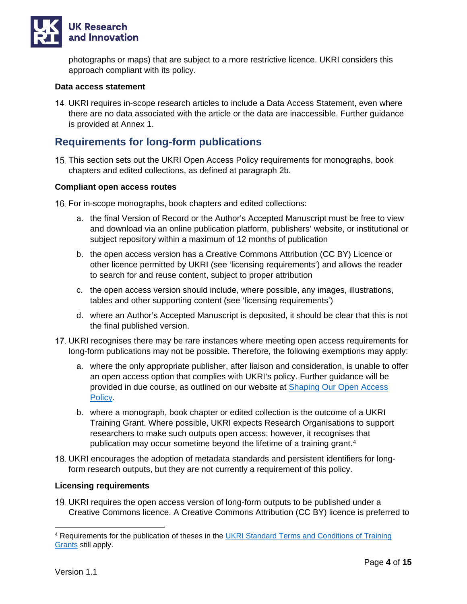

photographs or maps) that are subject to a more restrictive licence. UKRI considers this approach compliant with its policy.

#### **Data access statement**

UKRI requires in-scope research articles to include a Data Access Statement, even where there are no data associated with the article or the data are inaccessible. Further guidance is provided at Annex 1.

### <span id="page-3-0"></span>**Requirements for long-form publications**

This section sets out the UKRI Open Access Policy requirements for monographs, book chapters and edited collections, as defined at paragraph 2b.

#### **Compliant open access routes**

16. For in-scope monographs, book chapters and edited collections:

- a. the final Version of Record or the Author's Accepted Manuscript must be free to view and download via an online publication platform, publishers' website, or institutional or subject repository within a maximum of 12 months of publication
- b. the open access version has a Creative Commons Attribution (CC BY) Licence or other licence permitted by UKRI (see 'licensing requirements') and allows the reader to search for and reuse content, subject to proper attribution
- c. the open access version should include, where possible, any images, illustrations, tables and other supporting content (see 'licensing requirements')
- d. where an Author's Accepted Manuscript is deposited, it should be clear that this is not the final published version.
- UKRI recognises there may be rare instances where meeting open access requirements for long-form publications may not be possible. Therefore, the following exemptions may apply:
	- a. where the only appropriate publisher, after liaison and consideration, is unable to offer an open access option that complies with UKRI's policy. Further guidance will be provided in due course, as outlined on our website at [Shaping Our Open Access](https://www.ukri.org/our-work/supporting-healthy-research-and-innovation-culture/open-research/open-access-policies-review/)  [Policy.](https://www.ukri.org/our-work/supporting-healthy-research-and-innovation-culture/open-research/open-access-policies-review/)
	- b. where a monograph, book chapter or edited collection is the outcome of a UKRI Training Grant. Where possible, UKRI expects Research Organisations to support researchers to make such outputs open access; however, it recognises that publication may occur sometime beyond the lifetime of a training grant.<sup>[4](#page-3-1)</sup>
- UKRI encourages the adoption of metadata standards and persistent identifiers for longform research outputs, but they are not currently a requirement of this policy.

#### **Licensing requirements**

19. UKRI requires the open access version of long-form outputs to be published under a Creative Commons licence. A Creative Commons Attribution (CC BY) licence is preferred to

<span id="page-3-1"></span><sup>&</sup>lt;sup>4</sup> Requirements for the publication of theses in the **UKRI Standard Terms and Conditions of Training** [Grants](https://www.ukri.org/apply-for-funding/before-you-apply/your-responsibilities-if-you-get-funding/meeting-ukri-terms-and-conditions-for-funding/) still apply.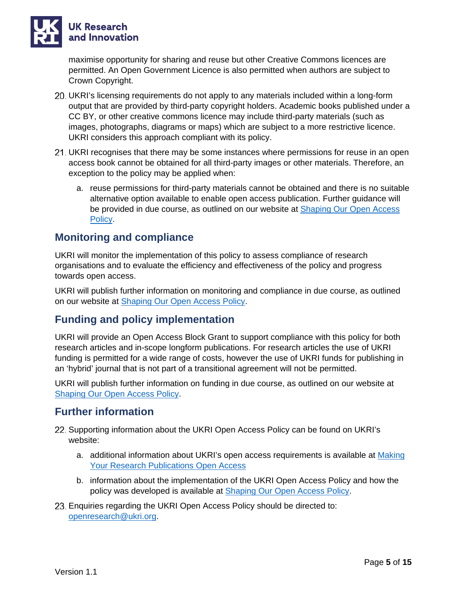

maximise opportunity for sharing and reuse but other Creative Commons licences are permitted. An Open Government Licence is also permitted when authors are subject to Crown Copyright.

- UKRI's licensing requirements do not apply to any materials included within a long-form output that are provided by third-party copyright holders. Academic books published under a CC BY, or other creative commons licence may include third-party materials (such as images, photographs, diagrams or maps) which are subject to a more restrictive licence. UKRI considers this approach compliant with its policy.
- UKRI recognises that there may be some instances where permissions for reuse in an open access book cannot be obtained for all third-party images or other materials. Therefore, an exception to the policy may be applied when:
	- a. reuse permissions for third-party materials cannot be obtained and there is no suitable alternative option available to enable open access publication. Further guidance will be provided in due course, as outlined on our website at **Shaping Our Open Access** [Policy.](https://www.ukri.org/our-work/supporting-healthy-research-and-innovation-culture/open-research/open-access-policies-review/)

### <span id="page-4-0"></span>**Monitoring and compliance**

UKRI will monitor the implementation of this policy to assess compliance of research organisations and to evaluate the efficiency and effectiveness of the policy and progress towards open access.

UKRI will publish further information on monitoring and compliance in due course, as outlined on our website at [Shaping Our Open Access Policy.](https://www.ukri.org/our-work/supporting-healthy-research-and-innovation-culture/open-research/open-access-policies-review/)

### <span id="page-4-1"></span>**Funding and policy implementation**

UKRI will provide an Open Access Block Grant to support compliance with this policy for both research articles and in-scope longform publications. For research articles the use of UKRI funding is permitted for a wide range of costs, however the use of UKRI funds for publishing in an 'hybrid' journal that is not part of a transitional agreement will not be permitted.

UKRI will publish further information on funding in due course, as outlined on our website at [Shaping Our Open Access Policy.](https://www.ukri.org/our-work/supporting-healthy-research-and-innovation-culture/open-research/open-access-policies-review/)

### <span id="page-4-2"></span>**Further information**

- 22. Supporting information about the UKRI Open Access Policy can be found on UKRI's website:
	- a. additional information about UKRI's open access requirements is available at Making [Your Research Publications Open Access](https://www.ukri.org/apply-for-funding/before-you-apply/your-responsibilities-if-you-get-funding/making-research-open/#contents-list)
	- b. information about the implementation of the UKRI Open Access Policy and how the policy was developed is available at **Shaping Our Open Access Policy**.
- Enquiries regarding the UKRI Open Access Policy should be directed to: [openresearch@ukri.org.](mailto:openresearch@ukri.org)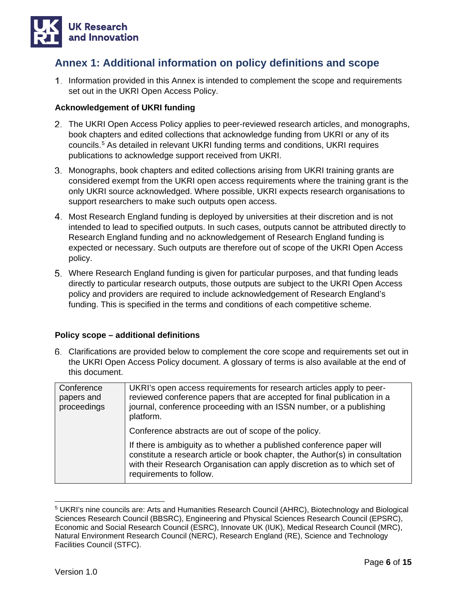

### <span id="page-5-0"></span>**Annex 1: Additional information on policy definitions and scope**

1. Information provided in this Annex is intended to complement the scope and requirements set out in the UKRI Open Access Policy.

### **Acknowledgement of UKRI funding**

- The UKRI Open Access Policy applies to peer-reviewed research articles, and monographs, book chapters and edited collections that acknowledge funding from UKRI or any of its councils.[5](#page-5-1) As detailed in relevant UKRI funding terms and conditions, UKRI requires publications to acknowledge support received from UKRI.
- Monographs, book chapters and edited collections arising from UKRI training grants are considered exempt from the UKRI open access requirements where the training grant is the only UKRI source acknowledged. Where possible, UKRI expects research organisations to support researchers to make such outputs open access.
- Most Research England funding is deployed by universities at their discretion and is not intended to lead to specified outputs. In such cases, outputs cannot be attributed directly to Research England funding and no acknowledgement of Research England funding is expected or necessary. Such outputs are therefore out of scope of the UKRI Open Access policy.
- Where Research England funding is given for particular purposes, and that funding leads directly to particular research outputs, those outputs are subject to the UKRI Open Access policy and providers are required to include acknowledgement of Research England's funding. This is specified in the terms and conditions of each competitive scheme.

#### **Policy scope – additional definitions**

Clarifications are provided below to complement the core scope and requirements set out in the UKRI Open Access Policy document. A glossary of terms is also available at the end of this document.

| Conference<br>papers and<br>proceedings | UKRI's open access requirements for research articles apply to peer-<br>reviewed conference papers that are accepted for final publication in a<br>journal, conference proceeding with an ISSN number, or a publishing<br>platform.                          |
|-----------------------------------------|--------------------------------------------------------------------------------------------------------------------------------------------------------------------------------------------------------------------------------------------------------------|
|                                         | Conference abstracts are out of scope of the policy.                                                                                                                                                                                                         |
|                                         | If there is ambiguity as to whether a published conference paper will<br>constitute a research article or book chapter, the Author(s) in consultation<br>with their Research Organisation can apply discretion as to which set of<br>requirements to follow. |

<span id="page-5-1"></span><sup>5</sup> UKRI's nine councils are: Arts and Humanities Research Council (AHRC), Biotechnology and Biological Sciences Research Council (BBSRC), Engineering and Physical Sciences Research Council (EPSRC), Economic and Social Research Council (ESRC), Innovate UK (IUK), Medical Research Council (MRC), Natural Environment Research Council (NERC), Research England (RE), Science and Technology Facilities Council (STFC).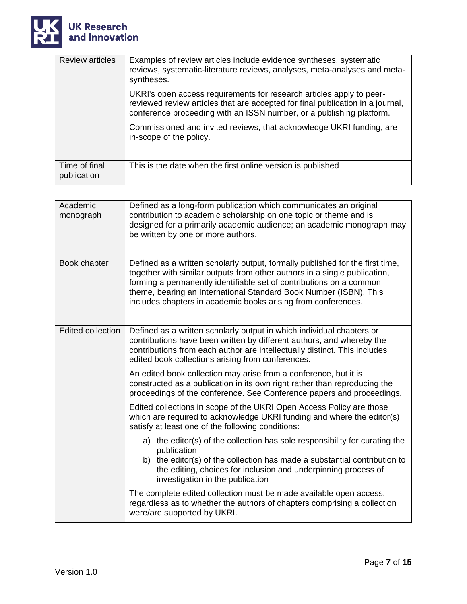

| <b>Review articles</b>       | Examples of review articles include evidence syntheses, systematic<br>reviews, systematic-literature reviews, analyses, meta-analyses and meta-<br>syntheses.                                                                  |  |  |
|------------------------------|--------------------------------------------------------------------------------------------------------------------------------------------------------------------------------------------------------------------------------|--|--|
|                              | UKRI's open access requirements for research articles apply to peer-<br>reviewed review articles that are accepted for final publication in a journal,<br>conference proceeding with an ISSN number, or a publishing platform. |  |  |
|                              | Commissioned and invited reviews, that acknowledge UKRI funding, are<br>in-scope of the policy.                                                                                                                                |  |  |
| Time of final<br>publication | This is the date when the first online version is published                                                                                                                                                                    |  |  |

| Academic<br>monograph    | Defined as a long-form publication which communicates an original<br>contribution to academic scholarship on one topic or theme and is<br>designed for a primarily academic audience; an academic monograph may<br>be written by one or more authors.                                                                                                                   |  |  |  |
|--------------------------|-------------------------------------------------------------------------------------------------------------------------------------------------------------------------------------------------------------------------------------------------------------------------------------------------------------------------------------------------------------------------|--|--|--|
| Book chapter             | Defined as a written scholarly output, formally published for the first time,<br>together with similar outputs from other authors in a single publication,<br>forming a permanently identifiable set of contributions on a common<br>theme, bearing an International Standard Book Number (ISBN). This<br>includes chapters in academic books arising from conferences. |  |  |  |
| <b>Edited collection</b> | Defined as a written scholarly output in which individual chapters or<br>contributions have been written by different authors, and whereby the<br>contributions from each author are intellectually distinct. This includes<br>edited book collections arising from conferences.                                                                                        |  |  |  |
|                          | An edited book collection may arise from a conference, but it is<br>constructed as a publication in its own right rather than reproducing the<br>proceedings of the conference. See Conference papers and proceedings.                                                                                                                                                  |  |  |  |
|                          | Edited collections in scope of the UKRI Open Access Policy are those<br>which are required to acknowledge UKRI funding and where the editor(s)<br>satisfy at least one of the following conditions:                                                                                                                                                                     |  |  |  |
|                          | a) the editor(s) of the collection has sole responsibility for curating the<br>publication<br>b) the editor(s) of the collection has made a substantial contribution to<br>the editing, choices for inclusion and underpinning process of<br>investigation in the publication                                                                                           |  |  |  |
|                          | The complete edited collection must be made available open access,<br>regardless as to whether the authors of chapters comprising a collection<br>were/are supported by UKRI.                                                                                                                                                                                           |  |  |  |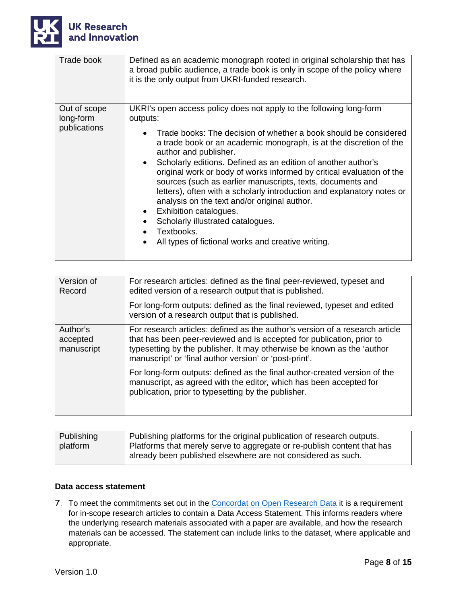

| Trade book                                | Defined as an academic monograph rooted in original scholarship that has<br>a broad public audience, a trade book is only in scope of the policy where<br>it is the only output from UKRI-funded research.                                                                                                                     |
|-------------------------------------------|--------------------------------------------------------------------------------------------------------------------------------------------------------------------------------------------------------------------------------------------------------------------------------------------------------------------------------|
| Out of scope<br>long-form<br>publications | UKRI's open access policy does not apply to the following long-form<br>outputs:<br>Trade books: The decision of whether a book should be considered                                                                                                                                                                            |
|                                           | a trade book or an academic monograph, is at the discretion of the<br>author and publisher.                                                                                                                                                                                                                                    |
|                                           | Scholarly editions. Defined as an edition of another author's<br>original work or body of works informed by critical evaluation of the<br>sources (such as earlier manuscripts, texts, documents and<br>letters), often with a scholarly introduction and explanatory notes or<br>analysis on the text and/or original author. |
|                                           | Exhibition catalogues.<br>Scholarly illustrated catalogues.                                                                                                                                                                                                                                                                    |
|                                           | Textbooks.                                                                                                                                                                                                                                                                                                                     |
|                                           | All types of fictional works and creative writing.                                                                                                                                                                                                                                                                             |

| Version of<br>Record               | For research articles: defined as the final peer-reviewed, typeset and<br>edited version of a research output that is published.                                                                                                                                                          |  |  |
|------------------------------------|-------------------------------------------------------------------------------------------------------------------------------------------------------------------------------------------------------------------------------------------------------------------------------------------|--|--|
|                                    | For long-form outputs: defined as the final reviewed, typeset and edited<br>version of a research output that is published.                                                                                                                                                               |  |  |
| Author's<br>accepted<br>manuscript | For research articles: defined as the author's version of a research article<br>that has been peer-reviewed and is accepted for publication, prior to<br>typesetting by the publisher. It may otherwise be known as the 'author<br>manuscript' or 'final author version' or 'post-print'. |  |  |
|                                    | For long-form outputs: defined as the final author-created version of the<br>manuscript, as agreed with the editor, which has been accepted for<br>publication, prior to typesetting by the publisher.                                                                                    |  |  |

| Publishing | Publishing platforms for the original publication of research outputs.  |  |  |  |
|------------|-------------------------------------------------------------------------|--|--|--|
| platform   | Platforms that merely serve to aggregate or re-publish content that has |  |  |  |
|            | already been published elsewhere are not considered as such.            |  |  |  |

### **Data access statement**

7. To meet the commitments set out in the [Concordat on Open Research Data](https://www.ukri.org/wp-content/uploads/2020/10/UKRI-020920-ConcordatonOpenResearchData.pdf) it is a requirement for in-scope research articles to contain a Data Access Statement. This informs readers where the underlying research materials associated with a paper are available, and how the research materials can be accessed. The statement can include links to the dataset, where applicable and appropriate.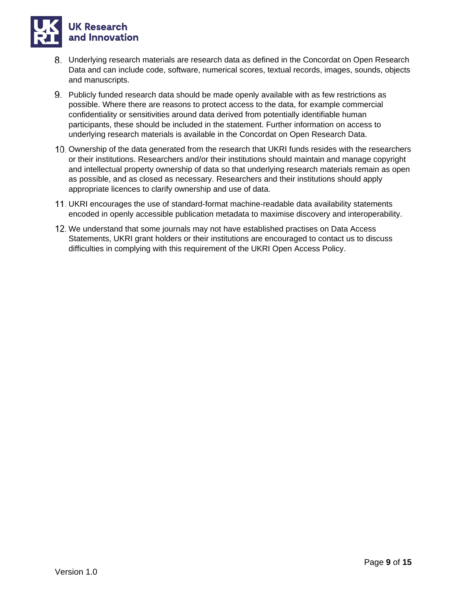

- Underlying research materials are research data as defined in the Concordat on Open Research Data and can include code, software, numerical scores, textual records, images, sounds, objects and manuscripts.
- Publicly funded research data should be made openly available with as few restrictions as possible. Where there are reasons to protect access to the data, for example commercial confidentiality or sensitivities around data derived from potentially identifiable human participants, these should be included in the statement. Further information on access to underlying research materials is available in the Concordat on Open Research Data.
- 10. Ownership of the data generated from the research that UKRI funds resides with the researchers or their institutions. Researchers and/or their institutions should maintain and manage copyright and intellectual property ownership of data so that underlying research materials remain as open as possible, and as closed as necessary. Researchers and their institutions should apply appropriate licences to clarify ownership and use of data.
- UKRI encourages the use of standard-format machine-readable data availability statements encoded in openly accessible publication metadata to maximise discovery and interoperability.
- 12. We understand that some journals may not have established practises on Data Access Statements, UKRI grant holders or their institutions are encouraged to contact us to discuss difficulties in complying with this requirement of the UKRI Open Access Policy.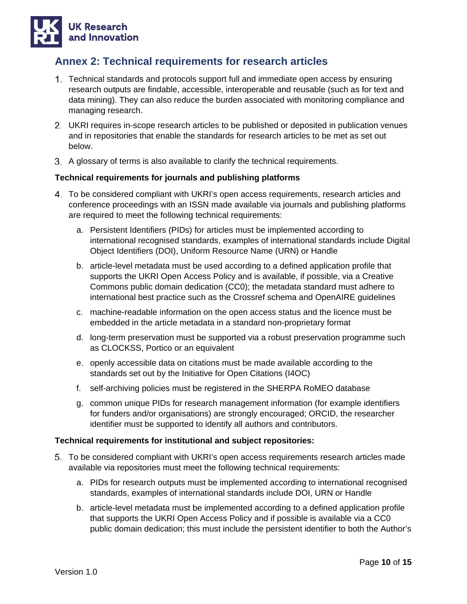

### <span id="page-9-0"></span>**Annex 2: Technical requirements for research articles**

- Technical standards and protocols support full and immediate open access by ensuring research outputs are findable, accessible, interoperable and reusable (such as for text and data mining). They can also reduce the burden associated with monitoring compliance and managing research.
- UKRI requires in-scope research articles to be published or deposited in publication venues and in repositories that enable the standards for research articles to be met as set out below.
- A glossary of terms is also available to clarify the technical requirements.

### **Technical requirements for journals and publishing platforms**

- To be considered compliant with UKRI's open access requirements, research articles and conference proceedings with an ISSN made available via journals and publishing platforms are required to meet the following technical requirements:
	- a. Persistent Identifiers (PIDs) for articles must be implemented according to international recognised standards, examples of international standards include Digital Object Identifiers (DOI), Uniform Resource Name (URN) or Handle
	- b. article-level metadata must be used according to a defined application profile that supports the UKRI Open Access Policy and is available, if possible, via a Creative Commons public domain dedication (CC0); the metadata standard must adhere to international best practice such as the Crossref schema and OpenAIRE guidelines
	- c. machine-readable information on the open access status and the licence must be embedded in the article metadata in a standard non-proprietary format
	- d. long-term preservation must be supported via a robust preservation programme such as CLOCKSS, Portico or an equivalent
	- e. openly accessible data on citations must be made available according to the standards set out by the Initiative for Open Citations (I4OC)
	- f. self-archiving policies must be registered in the SHERPA RoMEO database
	- g. common unique PIDs for research management information (for example identifiers for funders and/or organisations) are strongly encouraged; ORCID, the researcher identifier must be supported to identify all authors and contributors.

#### **Technical requirements for institutional and subject repositories:**

- To be considered compliant with UKRI's open access requirements research articles made available via repositories must meet the following technical requirements:
	- a. PIDs for research outputs must be implemented according to international recognised standards, examples of international standards include DOI, URN or Handle
	- b. article-level metadata must be implemented according to a defined application profile that supports the UKRI Open Access Policy and if possible is available via a CC0 public domain dedication; this must include the persistent identifier to both the Author's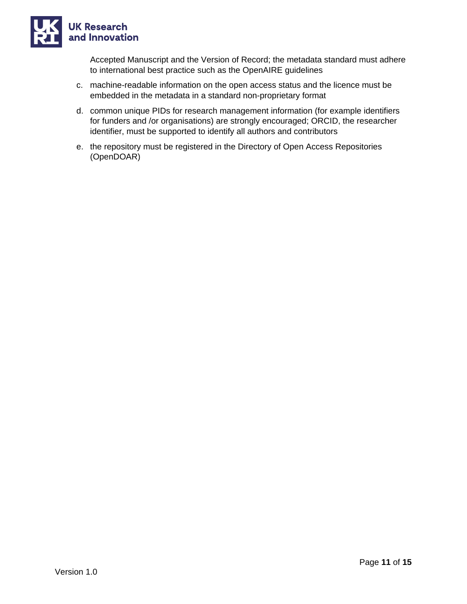

Accepted Manuscript and the Version of Record; the metadata standard must adhere to international best practice such as the OpenAIRE guidelines

- c. machine-readable information on the open access status and the licence must be embedded in the metadata in a standard non-proprietary format
- d. common unique PIDs for research management information (for example identifiers for funders and /or organisations) are strongly encouraged; ORCID, the researcher identifier, must be supported to identify all authors and contributors
- e. the repository must be registered in the Directory of Open Access Repositories (OpenDOAR)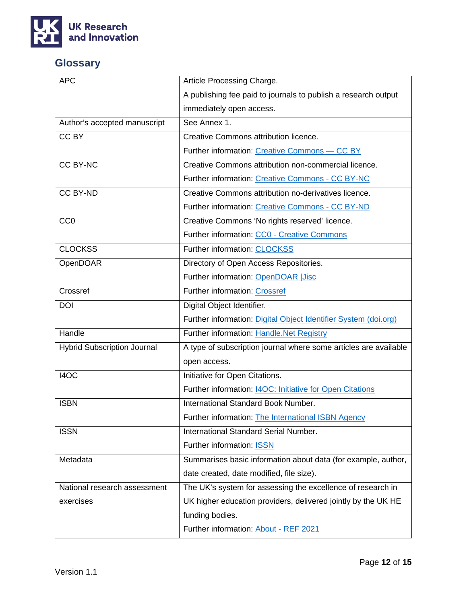

## <span id="page-11-0"></span>**Glossary**

| <b>APC</b>                         | Article Processing Charge.                                       |  |  |
|------------------------------------|------------------------------------------------------------------|--|--|
|                                    | A publishing fee paid to journals to publish a research output   |  |  |
|                                    | immediately open access.                                         |  |  |
| Author's accepted manuscript       | See Annex 1.                                                     |  |  |
| CC BY                              | Creative Commons attribution licence.                            |  |  |
|                                    | Further information: Creative Commons - CC BY                    |  |  |
| <b>CC BY-NC</b>                    | Creative Commons attribution non-commercial licence.             |  |  |
|                                    | Further information: Creative Commons - CC BY-NC                 |  |  |
| <b>CC BY-ND</b>                    | Creative Commons attribution no-derivatives licence.             |  |  |
|                                    | Further information: Creative Commons - CC BY-ND                 |  |  |
| CC <sub>0</sub>                    | Creative Commons 'No rights reserved' licence.                   |  |  |
|                                    | Further information: CC0 - Creative Commons                      |  |  |
| <b>CLOCKSS</b>                     | Further information: CLOCKSS                                     |  |  |
| OpenDOAR                           | Directory of Open Access Repositories.                           |  |  |
|                                    | Further information: OpenDOAR JJisc                              |  |  |
| Crossref                           | Further information: Crossref                                    |  |  |
| <b>DOI</b>                         | Digital Object Identifier.                                       |  |  |
|                                    | Further information: Digital Object Identifier System (doi.org)  |  |  |
| Handle                             | Further information: Handle.Net Registry                         |  |  |
| <b>Hybrid Subscription Journal</b> | A type of subscription journal where some articles are available |  |  |
|                                    | open access.                                                     |  |  |
| I4OC                               | Initiative for Open Citations.                                   |  |  |
|                                    | Further information: I4OC: Initiative for Open Citations         |  |  |
| <b>ISBN</b>                        | International Standard Book Number.                              |  |  |
|                                    | Further information: The International ISBN Agency               |  |  |
| <b>ISSN</b>                        | International Standard Serial Number.                            |  |  |
|                                    | Further information: <b>ISSN</b>                                 |  |  |
| Metadata                           | Summarises basic information about data (for example, author,    |  |  |
|                                    | date created, date modified, file size).                         |  |  |
| National research assessment       | The UK's system for assessing the excellence of research in      |  |  |
| exercises                          | UK higher education providers, delivered jointly by the UK HE    |  |  |
|                                    | funding bodies.                                                  |  |  |
|                                    | Further information: About - REF 2021                            |  |  |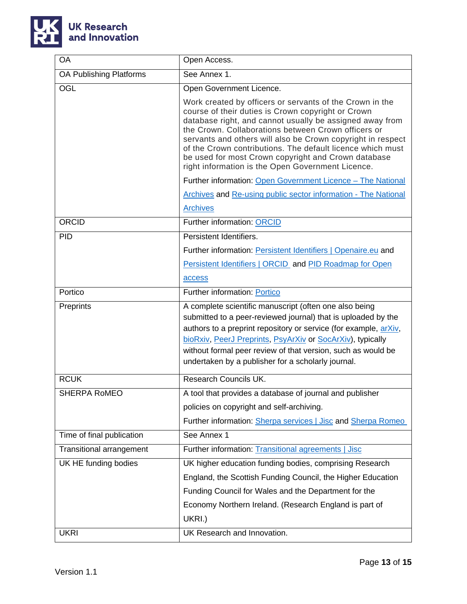

| OA                              | Open Access.                                                                                                                                                                                                                                                                                                                                                                                                                                                               |  |  |
|---------------------------------|----------------------------------------------------------------------------------------------------------------------------------------------------------------------------------------------------------------------------------------------------------------------------------------------------------------------------------------------------------------------------------------------------------------------------------------------------------------------------|--|--|
| OA Publishing Platforms         | See Annex 1.                                                                                                                                                                                                                                                                                                                                                                                                                                                               |  |  |
| OGL                             | Open Government Licence.                                                                                                                                                                                                                                                                                                                                                                                                                                                   |  |  |
|                                 | Work created by officers or servants of the Crown in the<br>course of their duties is Crown copyright or Crown<br>database right, and cannot usually be assigned away from<br>the Crown. Collaborations between Crown officers or<br>servants and others will also be Crown copyright in respect<br>of the Crown contributions. The default licence which must<br>be used for most Crown copyright and Crown database<br>right information is the Open Government Licence. |  |  |
|                                 | Further information: Open Government Licence - The National                                                                                                                                                                                                                                                                                                                                                                                                                |  |  |
|                                 | <b>Archives and Re-using public sector information - The National</b>                                                                                                                                                                                                                                                                                                                                                                                                      |  |  |
|                                 | <b>Archives</b>                                                                                                                                                                                                                                                                                                                                                                                                                                                            |  |  |
| ORCID                           | <b>Further information: ORCID</b>                                                                                                                                                                                                                                                                                                                                                                                                                                          |  |  |
| <b>PID</b>                      | Persistent Identifiers.                                                                                                                                                                                                                                                                                                                                                                                                                                                    |  |  |
|                                 | Further information: <b>Persistent Identifiers   Openaire.eu</b> and                                                                                                                                                                                                                                                                                                                                                                                                       |  |  |
|                                 | Persistent Identifiers   ORCID and PID Roadmap for Open                                                                                                                                                                                                                                                                                                                                                                                                                    |  |  |
|                                 | access                                                                                                                                                                                                                                                                                                                                                                                                                                                                     |  |  |
| Portico                         | Further information: Portico                                                                                                                                                                                                                                                                                                                                                                                                                                               |  |  |
| Preprints                       | A complete scientific manuscript (often one also being<br>submitted to a peer-reviewed journal) that is uploaded by the<br>authors to a preprint repository or service (for example, arXiv,<br>bioRxiv, PeerJ Preprints, PsyArXiv or SocArXiv), typically<br>without formal peer review of that version, such as would be<br>undertaken by a publisher for a scholarly journal.                                                                                            |  |  |
| <b>RCUK</b>                     | Research Councils UK.                                                                                                                                                                                                                                                                                                                                                                                                                                                      |  |  |
| <b>SHERPA ROMEO</b>             | A tool that provides a database of journal and publisher                                                                                                                                                                                                                                                                                                                                                                                                                   |  |  |
|                                 | policies on copyright and self-archiving.                                                                                                                                                                                                                                                                                                                                                                                                                                  |  |  |
|                                 | Further information: Sherpa services   Jisc and Sherpa Romeo                                                                                                                                                                                                                                                                                                                                                                                                               |  |  |
| Time of final publication       | See Annex 1                                                                                                                                                                                                                                                                                                                                                                                                                                                                |  |  |
| <b>Transitional arrangement</b> | Further information: Transitional agreements   Jisc                                                                                                                                                                                                                                                                                                                                                                                                                        |  |  |
| UK HE funding bodies            | UK higher education funding bodies, comprising Research                                                                                                                                                                                                                                                                                                                                                                                                                    |  |  |
|                                 | England, the Scottish Funding Council, the Higher Education                                                                                                                                                                                                                                                                                                                                                                                                                |  |  |
|                                 | Funding Council for Wales and the Department for the                                                                                                                                                                                                                                                                                                                                                                                                                       |  |  |
|                                 | Economy Northern Ireland. (Research England is part of                                                                                                                                                                                                                                                                                                                                                                                                                     |  |  |
|                                 | UKRI.)                                                                                                                                                                                                                                                                                                                                                                                                                                                                     |  |  |
| <b>UKRI</b>                     | UK Research and Innovation.                                                                                                                                                                                                                                                                                                                                                                                                                                                |  |  |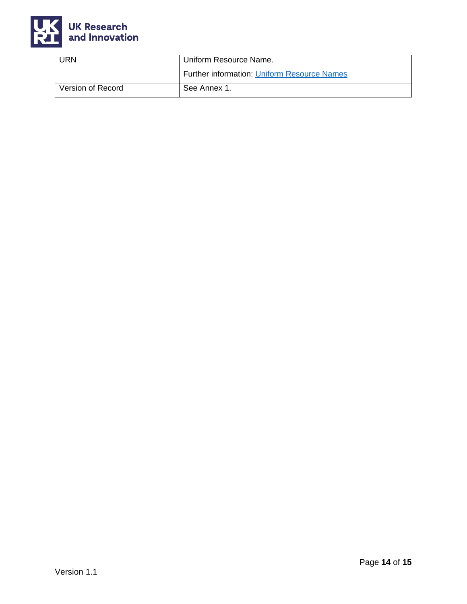

| URN               | Uniform Resource Name.                             |  |
|-------------------|----------------------------------------------------|--|
|                   | <b>Further information: Uniform Resource Names</b> |  |
| Version of Record | See Annex 1.                                       |  |